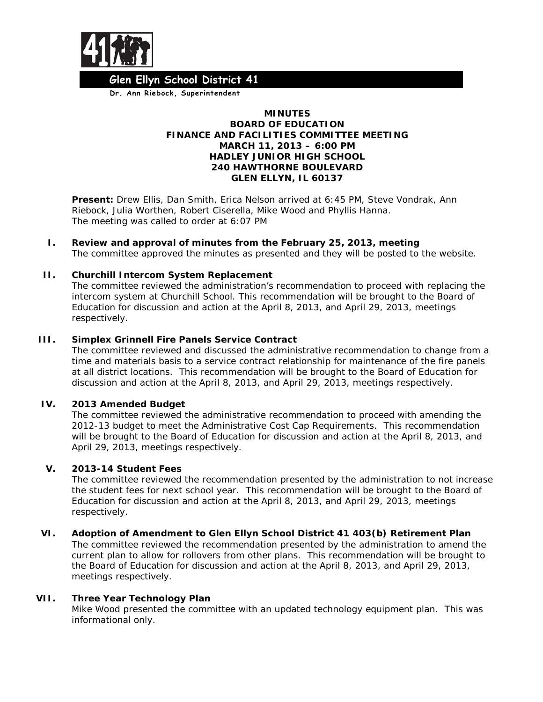

 **Glen Ellyn School District 41**

**Dr. Ann Riebock, Superintendent**

### **MINUTES BOARD OF EDUCATION FINANCE AND FACILITIES COMMITTEE MEETING MARCH 11, 2013 – 6:00 PM HADLEY JUNIOR HIGH SCHOOL 240 HAWTHORNE BOULEVARD GLEN ELLYN, IL 60137**

**Present:** Drew Ellis, Dan Smith, Erica Nelson arrived at 6:45 PM, Steve Vondrak, Ann Riebock, Julia Worthen, Robert Ciserella, Mike Wood and Phyllis Hanna. The meeting was called to order at 6:07 PM

**I. Review and approval of minutes from the February 25, 2013, meeting** The committee approved the minutes as presented and they will be posted to the website.

# **II. Churchill Intercom System Replacement**

The committee reviewed the administration's recommendation to proceed with replacing the intercom system at Churchill School. This recommendation will be brought to the Board of Education for discussion and action at the April 8, 2013, and April 29, 2013, meetings respectively.

### **III. Simplex Grinnell Fire Panels Service Contract**

The committee reviewed and discussed the administrative recommendation to change from a time and materials basis to a service contract relationship for maintenance of the fire panels at all district locations. This recommendation will be brought to the Board of Education for discussion and action at the April 8, 2013, and April 29, 2013, meetings respectively.

## **IV. 2013 Amended Budget**

The committee reviewed the administrative recommendation to proceed with amending the 2012-13 budget to meet the Administrative Cost Cap Requirements. This recommendation will be brought to the Board of Education for discussion and action at the April 8, 2013, and April 29, 2013, meetings respectively.

# **V. 2013-14 Student Fees**

The committee reviewed the recommendation presented by the administration to not increase the student fees for next school year. This recommendation will be brought to the Board of Education for discussion and action at the April 8, 2013, and April 29, 2013, meetings respectively.

#### **VI. Adoption of Amendment to Glen Ellyn School District 41 403(b) Retirement Plan**

The committee reviewed the recommendation presented by the administration to amend the current plan to allow for rollovers from other plans. This recommendation will be brought to the Board of Education for discussion and action at the April 8, 2013, and April 29, 2013, meetings respectively.

#### **VII. Three Year Technology Plan**

Mike Wood presented the committee with an updated technology equipment plan. This was informational only.